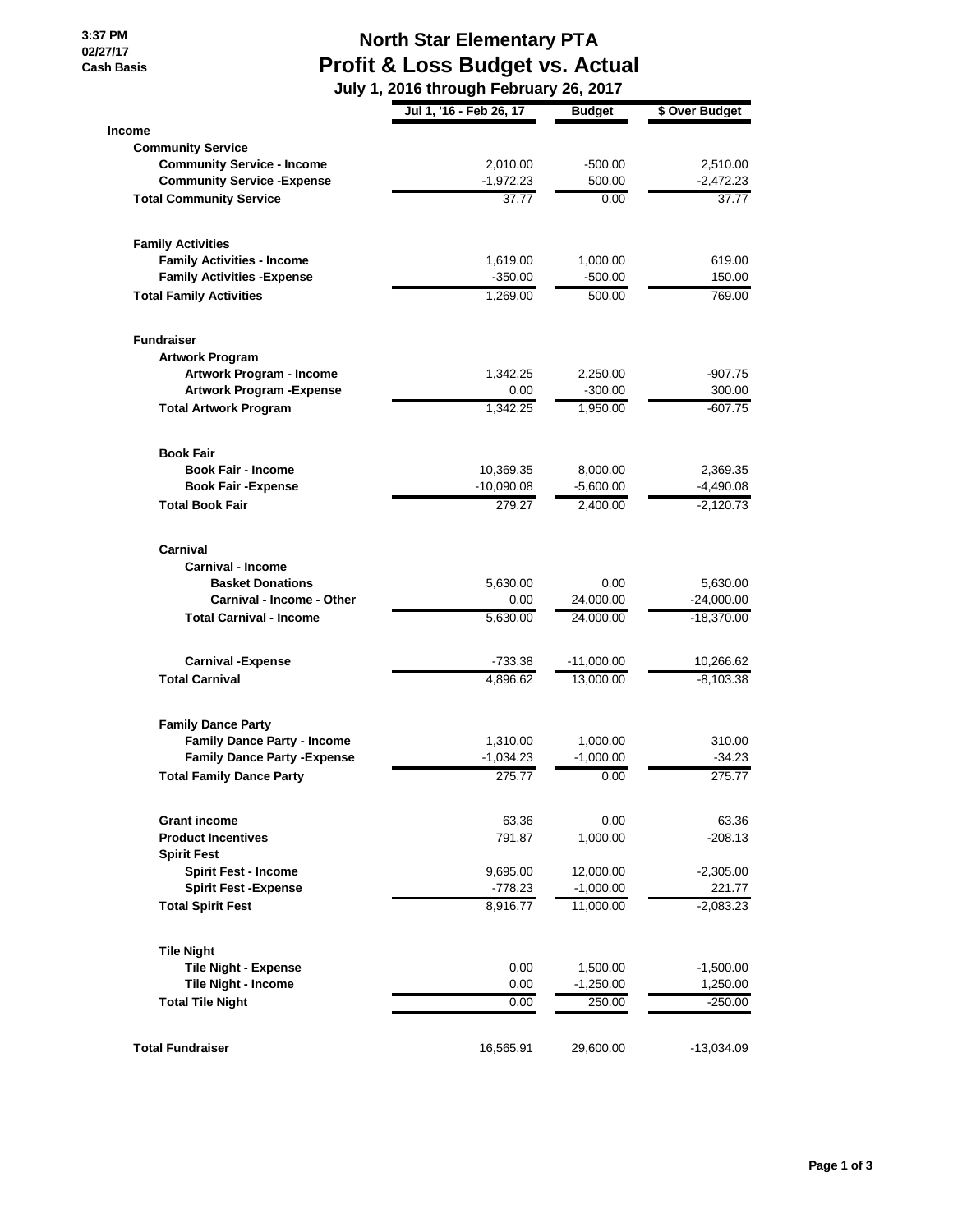**3:37 PM 02/27/17 Cash Basis**

## **North Star Elementary PTA Profit & Loss Budget vs. Actual**

 **July 1, 2016 through February 26, 2017**

|                                     | Jul 1, '16 - Feb 26, 17 | <b>Budget</b> | \$ Over Budget |
|-------------------------------------|-------------------------|---------------|----------------|
| <b>Income</b>                       |                         |               |                |
| <b>Community Service</b>            |                         |               |                |
| <b>Community Service - Income</b>   | 2,010.00                | $-500.00$     | 2,510.00       |
| <b>Community Service - Expense</b>  | $-1,972.23$             | 500.00        | $-2,472.23$    |
| <b>Total Community Service</b>      | 37.77                   | 0.00          | 37.77          |
| <b>Family Activities</b>            |                         |               |                |
| <b>Family Activities - Income</b>   | 1,619.00                | 1,000.00      | 619.00         |
| <b>Family Activities - Expense</b>  | $-350.00$               | $-500.00$     | 150.00         |
| <b>Total Family Activities</b>      | 1,269.00                | 500.00        | 769.00         |
| <b>Fundraiser</b>                   |                         |               |                |
| <b>Artwork Program</b>              |                         |               |                |
| Artwork Program - Income            | 1,342.25                | 2,250.00      | $-907.75$      |
| <b>Artwork Program - Expense</b>    | 0.00                    | $-300.00$     | 300.00         |
| <b>Total Artwork Program</b>        | 1.342.25                | 1,950.00      | $-607.75$      |
| <b>Book Fair</b>                    |                         |               |                |
| <b>Book Fair - Income</b>           | 10,369.35               | 8,000.00      | 2,369.35       |
| <b>Book Fair - Expense</b>          | $-10,090.08$            | $-5,600.00$   | $-4,490.08$    |
| <b>Total Book Fair</b>              | 279.27                  | 2,400.00      | $-2,120.73$    |
| Carnival                            |                         |               |                |
| <b>Carnival - Income</b>            |                         |               |                |
| <b>Basket Donations</b>             | 5,630.00                | 0.00          | 5,630.00       |
| Carnival - Income - Other           | 0.00                    | 24,000.00     | $-24,000.00$   |
| <b>Total Carnival - Income</b>      | 5,630.00                | 24,000.00     | $-18,370.00$   |
| <b>Carnival -Expense</b>            | $-733.38$               | $-11,000.00$  | 10,266.62      |
| <b>Total Carnival</b>               | 4,896.62                | 13,000.00     | $-8,103.38$    |
| <b>Family Dance Party</b>           |                         |               |                |
| <b>Family Dance Party - Income</b>  | 1,310.00                | 1,000.00      | 310.00         |
| <b>Family Dance Party - Expense</b> | $-1,034.23$             | $-1,000.00$   | $-34.23$       |
| <b>Total Family Dance Party</b>     | 275.77                  | 0.00          | 275.77         |
| <b>Grant income</b>                 | 63.36                   | 0.00          | 63.36          |
| <b>Product Incentives</b>           | 791.87                  | 1,000.00      | $-208.13$      |
| <b>Spirit Fest</b>                  |                         |               |                |
| <b>Spirit Fest - Income</b>         | 9,695.00                | 12,000.00     | $-2,305.00$    |
| <b>Spirit Fest -Expense</b>         | -778.23                 | $-1,000.00$   | 221.77         |
| <b>Total Spirit Fest</b>            | 8,916.77                | 11,000.00     | $-2,083.23$    |
| <b>Tile Night</b>                   |                         |               |                |
| <b>Tile Night - Expense</b>         | 0.00                    | 1,500.00      | $-1,500.00$    |
| <b>Tile Night - Income</b>          | 0.00                    | $-1,250.00$   | 1,250.00       |
| <b>Total Tile Night</b>             | 0.00                    | 250.00        | $-250.00$      |
| <b>Total Fundraiser</b>             | 16,565.91               | 29,600.00     | $-13,034.09$   |
|                                     |                         |               |                |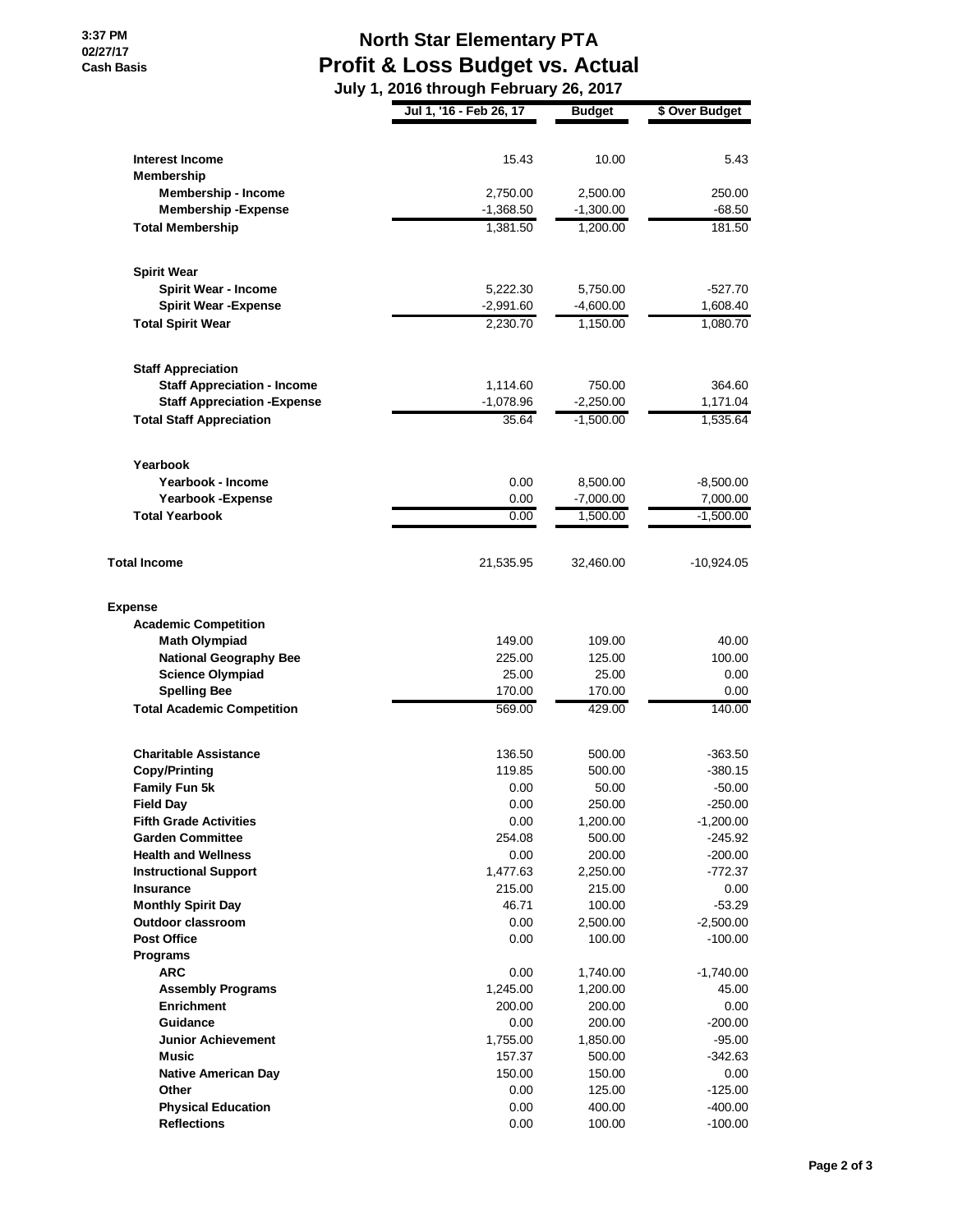## **North Star Elementary PTA Profit & Loss Budget vs. Actual July 1, 2016 through February 26, 2017**

|                                               | unvuğu<br>JI WUI Y      |                 |                       |
|-----------------------------------------------|-------------------------|-----------------|-----------------------|
|                                               | Jul 1, '16 - Feb 26, 17 | <b>Budget</b>   | \$ Over Budget        |
|                                               |                         |                 |                       |
| <b>Interest Income</b><br><b>Membership</b>   | 15.43                   | 10.00           | 5.43                  |
| <b>Membership - Income</b>                    | 2,750.00                | 2,500.00        | 250.00                |
| <b>Membership-Expense</b>                     | $-1,368.50$             | $-1,300.00$     | $-68.50$              |
| <b>Total Membership</b>                       | 1,381.50                | 1,200.00        | 181.50                |
|                                               |                         |                 |                       |
| <b>Spirit Wear</b>                            |                         |                 |                       |
| <b>Spirit Wear - Income</b>                   | 5,222.30                | 5,750.00        | $-527.70$             |
| <b>Spirit Wear - Expense</b>                  | $-2,991.60$             | $-4,600.00$     | 1,608.40              |
| <b>Total Spirit Wear</b>                      | 2,230.70                | 1,150.00        | 1,080.70              |
| <b>Staff Appreciation</b>                     |                         |                 |                       |
| <b>Staff Appreciation - Income</b>            | 1,114.60                | 750.00          | 364.60                |
| <b>Staff Appreciation - Expense</b>           | $-1,078.96$             | $-2,250.00$     | 1,171.04              |
| <b>Total Staff Appreciation</b>               | 35.64                   | $-1,500.00$     | 1,535.64              |
|                                               |                         |                 |                       |
| Yearbook                                      |                         |                 |                       |
| Yearbook - Income                             | 0.00                    | 8,500.00        | $-8,500.00$           |
| Yearbook - Expense                            | 0.00                    | $-7,000.00$     | 7,000.00              |
| <b>Total Yearbook</b>                         | 0.00                    | 1,500.00        | $-1,500.00$           |
| <b>Total Income</b>                           | 21,535.95               | 32,460.00       | -10,924.05            |
|                                               |                         |                 |                       |
| <b>Expense</b><br><b>Academic Competition</b> |                         |                 |                       |
| <b>Math Olympiad</b>                          | 149.00                  | 109.00          | 40.00                 |
| <b>National Geography Bee</b>                 | 225.00                  | 125.00          | 100.00                |
| <b>Science Olympiad</b>                       | 25.00                   | 25.00           | 0.00                  |
| <b>Spelling Bee</b>                           | 170.00                  | 170.00          | 0.00                  |
| <b>Total Academic Competition</b>             | 569.00                  | 429.00          | 140.00                |
|                                               |                         |                 |                       |
| <b>Charitable Assistance</b>                  | 136.50                  | 500.00          | $-363.50$             |
| Copy/Printing                                 | 119.85<br>0.00          | 500.00<br>50.00 | $-380.15$<br>$-50.00$ |
| <b>Family Fun 5k</b><br><b>Field Day</b>      | 0.00                    | 250.00          | $-250.00$             |
| <b>Fifth Grade Activities</b>                 | 0.00                    | 1,200.00        | $-1,200.00$           |
| <b>Garden Committee</b>                       | 254.08                  | 500.00          | $-245.92$             |
| <b>Health and Wellness</b>                    | 0.00                    | 200.00          | $-200.00$             |
| <b>Instructional Support</b>                  | 1,477.63                | 2,250.00        | -772.37               |
| <b>Insurance</b>                              | 215.00                  | 215.00          | 0.00                  |
| <b>Monthly Spirit Day</b>                     | 46.71                   | 100.00          | $-53.29$              |
| Outdoor classroom                             | 0.00                    | 2,500.00        | $-2,500.00$           |
| <b>Post Office</b>                            | 0.00                    | 100.00          | $-100.00$             |
| <b>Programs</b>                               |                         |                 |                       |
| <b>ARC</b>                                    | 0.00                    | 1,740.00        | $-1,740.00$           |
| <b>Assembly Programs</b>                      | 1,245.00                | 1,200.00        | 45.00                 |
| <b>Enrichment</b>                             | 200.00                  | 200.00          | 0.00                  |
| Guidance                                      | 0.00                    | 200.00          | $-200.00$             |
| <b>Junior Achievement</b>                     | 1,755.00                | 1,850.00        | -95.00                |
| <b>Music</b>                                  | 157.37                  | 500.00          | $-342.63$             |
| <b>Native American Day</b>                    | 150.00                  | 150.00          | 0.00                  |
| Other                                         | 0.00                    | 125.00          | $-125.00$             |
| <b>Physical Education</b>                     | 0.00                    | 400.00          | $-400.00$             |
| <b>Reflections</b>                            | 0.00                    | 100.00          | $-100.00$             |